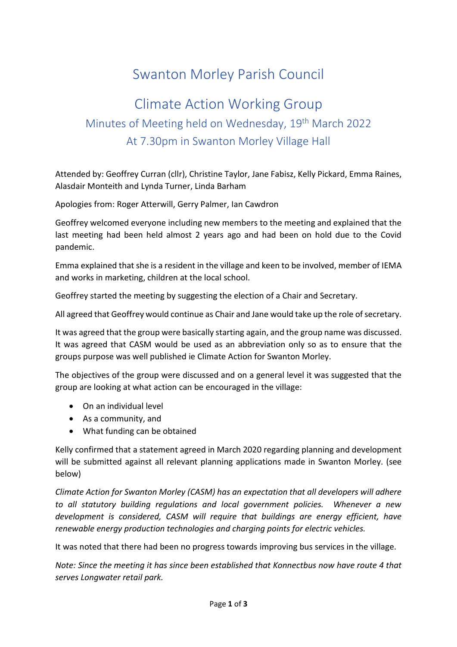# Swanton Morley Parish Council

# Climate Action Working Group Minutes of Meeting held on Wednesday, 19<sup>th</sup> March 2022 At 7.30pm in Swanton Morley Village Hall

Attended by: Geoffrey Curran (cllr), Christine Taylor, Jane Fabisz, Kelly Pickard, Emma Raines, Alasdair Monteith and Lynda Turner, Linda Barham

Apologies from: Roger Atterwill, Gerry Palmer, Ian Cawdron

Geoffrey welcomed everyone including new members to the meeting and explained that the last meeting had been held almost 2 years ago and had been on hold due to the Covid pandemic.

Emma explained that she is a resident in the village and keen to be involved, member of IEMA and works in marketing, children at the local school.

Geoffrey started the meeting by suggesting the election of a Chair and Secretary.

All agreed that Geoffrey would continue as Chair and Jane would take up the role of secretary.

It was agreed that the group were basically starting again, and the group name was discussed. It was agreed that CASM would be used as an abbreviation only so as to ensure that the groups purpose was well published ie Climate Action for Swanton Morley.

The objectives of the group were discussed and on a general level it was suggested that the group are looking at what action can be encouraged in the village:

- On an individual level
- As a community, and
- What funding can be obtained

Kelly confirmed that a statement agreed in March 2020 regarding planning and development will be submitted against all relevant planning applications made in Swanton Morley. (see below)

*Climate Action for Swanton Morley (CASM) has an expectation that all developers will adhere to all statutory building regulations and local government policies. Whenever a new development is considered, CASM will require that buildings are energy efficient, have renewable energy production technologies and charging points for electric vehicles.*

It was noted that there had been no progress towards improving bus services in the village.

*Note: Since the meeting it has since been established that Konnectbus now have route 4 that serves Longwater retail park.*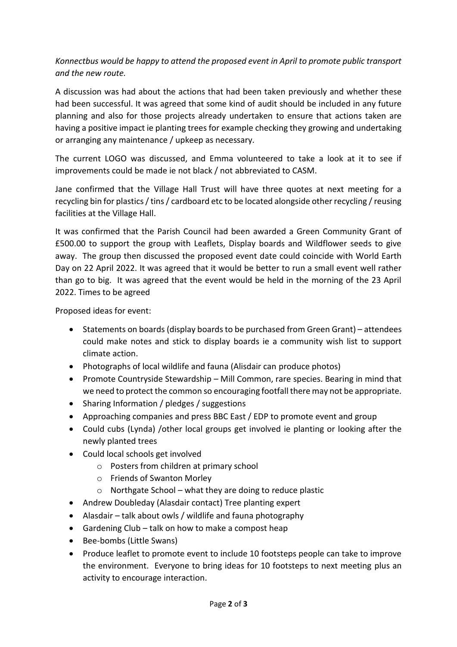*Konnectbus would be happy to attend the proposed event in April to promote public transport and the new route.* 

A discussion was had about the actions that had been taken previously and whether these had been successful. It was agreed that some kind of audit should be included in any future planning and also for those projects already undertaken to ensure that actions taken are having a positive impact ie planting trees for example checking they growing and undertaking or arranging any maintenance / upkeep as necessary.

The current LOGO was discussed, and Emma volunteered to take a look at it to see if improvements could be made ie not black / not abbreviated to CASM.

Jane confirmed that the Village Hall Trust will have three quotes at next meeting for a recycling bin for plastics / tins / cardboard etc to be located alongside other recycling / reusing facilities at the Village Hall.

It was confirmed that the Parish Council had been awarded a Green Community Grant of £500.00 to support the group with Leaflets, Display boards and Wildflower seeds to give away. The group then discussed the proposed event date could coincide with World Earth Day on 22 April 2022. It was agreed that it would be better to run a small event well rather than go to big. It was agreed that the event would be held in the morning of the 23 April 2022. Times to be agreed

Proposed ideas for event:

- Statements on boards (display boards to be purchased from Green Grant) attendees could make notes and stick to display boards ie a community wish list to support climate action.
- Photographs of local wildlife and fauna (Alisdair can produce photos)
- Promote Countryside Stewardship Mill Common, rare species. Bearing in mind that we need to protect the common so encouraging footfall there may not be appropriate.
- Sharing Information / pledges / suggestions
- Approaching companies and press BBC East / EDP to promote event and group
- Could cubs (Lynda) /other local groups get involved ie planting or looking after the newly planted trees
- Could local schools get involved
	- o Posters from children at primary school
	- o Friends of Swanton Morley
	- $\circ$  Northgate School what they are doing to reduce plastic
- Andrew Doubleday (Alasdair contact) Tree planting expert
- Alasdair talk about owls / wildlife and fauna photography
- Gardening Club talk on how to make a compost heap
- Bee-bombs (Little Swans)
- Produce leaflet to promote event to include 10 footsteps people can take to improve the environment. Everyone to bring ideas for 10 footsteps to next meeting plus an activity to encourage interaction.